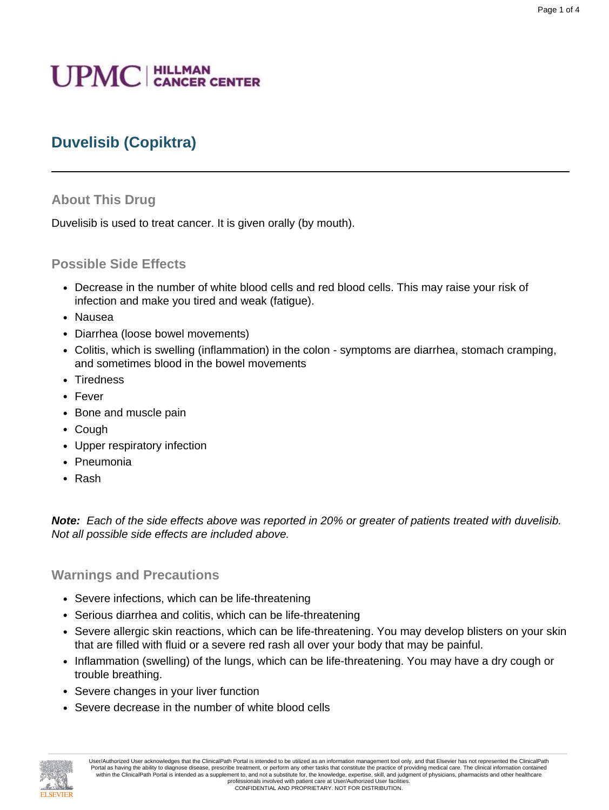# **UPMC** | HILLMAN

# **Duvelisib (Copiktra)**

# **About This Drug**

Duvelisib is used to treat cancer. It is given orally (by mouth).

## **Possible Side Effects**

- Decrease in the number of white blood cells and red blood cells. This may raise your risk of infection and make you tired and weak (fatigue).
- Nausea
- Diarrhea (loose bowel movements)
- Colitis, which is swelling (inflammation) in the colon symptoms are diarrhea, stomach cramping, and sometimes blood in the bowel movements
- Tiredness
- Fever
- Bone and muscle pain
- Cough
- Upper respiratory infection
- Pneumonia
- Rash

**Note:** Each of the side effects above was reported in 20% or greater of patients treated with duvelisib. Not all possible side effects are included above.

## **Warnings and Precautions**

- Severe infections, which can be life-threatening
- Serious diarrhea and colitis, which can be life-threatening
- Severe allergic skin reactions, which can be life-threatening. You may develop blisters on your skin that are filled with fluid or a severe red rash all over your body that may be painful.
- Inflammation (swelling) of the lungs, which can be life-threatening. You may have a dry cough or trouble breathing.
- Severe changes in your liver function
- Severe decrease in the number of white blood cells



User/Authorized User acknowledges that the ClinicalPath Portal is intended to be utilized as an information management tool only, and that Elsevier has not represented the ClinicalPath Portal as having the ability to diagnose disease, prescribe treatment, or perform any other tasks that constitute the practice of providing medical care. The clinical information contained<br>within the ClinicalPath Portal is professionals involved with patient care at User/Authorized User facilities.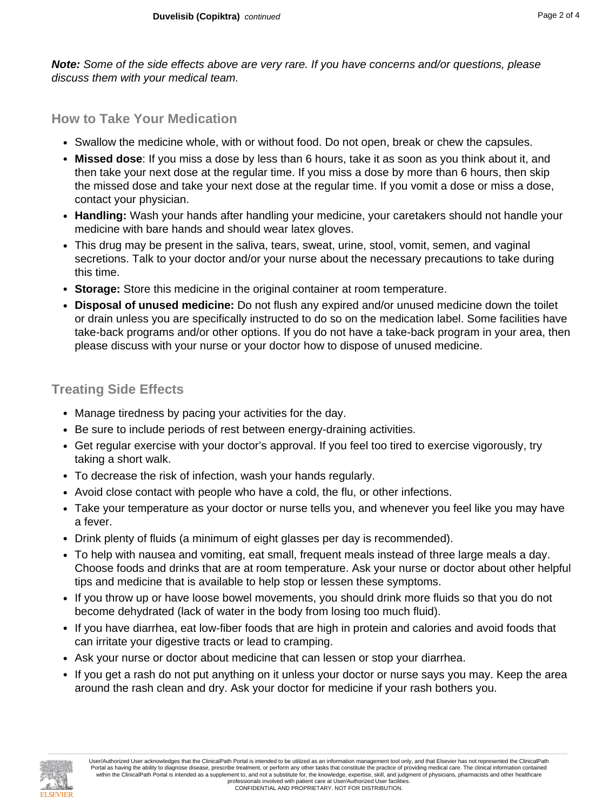**Note:** Some of the side effects above are very rare. If you have concerns and/or questions, please discuss them with your medical team.

# **How to Take Your Medication**

- Swallow the medicine whole, with or without food. Do not open, break or chew the capsules.
- **Missed dose**: If you miss a dose by less than 6 hours, take it as soon as you think about it, and then take your next dose at the regular time. If you miss a dose by more than 6 hours, then skip the missed dose and take your next dose at the regular time. If you vomit a dose or miss a dose, contact your physician.
- **Handling:** Wash your hands after handling your medicine, your caretakers should not handle your medicine with bare hands and should wear latex gloves.
- This drug may be present in the saliva, tears, sweat, urine, stool, vomit, semen, and vaginal secretions. Talk to your doctor and/or your nurse about the necessary precautions to take during this time.
- **Storage:** Store this medicine in the original container at room temperature.
- **Disposal of unused medicine:** Do not flush any expired and/or unused medicine down the toilet or drain unless you are specifically instructed to do so on the medication label. Some facilities have take-back programs and/or other options. If you do not have a take-back program in your area, then please discuss with your nurse or your doctor how to dispose of unused medicine.

# **Treating Side Effects**

- Manage tiredness by pacing your activities for the day.
- Be sure to include periods of rest between energy-draining activities.
- Get regular exercise with your doctor's approval. If you feel too tired to exercise vigorously, try taking a short walk.
- To decrease the risk of infection, wash your hands regularly.
- Avoid close contact with people who have a cold, the flu, or other infections.
- Take your temperature as your doctor or nurse tells you, and whenever you feel like you may have a fever.
- Drink plenty of fluids (a minimum of eight glasses per day is recommended).
- To help with nausea and vomiting, eat small, frequent meals instead of three large meals a day. Choose foods and drinks that are at room temperature. Ask your nurse or doctor about other helpful tips and medicine that is available to help stop or lessen these symptoms.
- If you throw up or have loose bowel movements, you should drink more fluids so that you do not become dehydrated (lack of water in the body from losing too much fluid).
- If you have diarrhea, eat low-fiber foods that are high in protein and calories and avoid foods that can irritate your digestive tracts or lead to cramping.
- Ask your nurse or doctor about medicine that can lessen or stop your diarrhea.
- If you get a rash do not put anything on it unless your doctor or nurse says you may. Keep the area around the rash clean and dry. Ask your doctor for medicine if your rash bothers you.

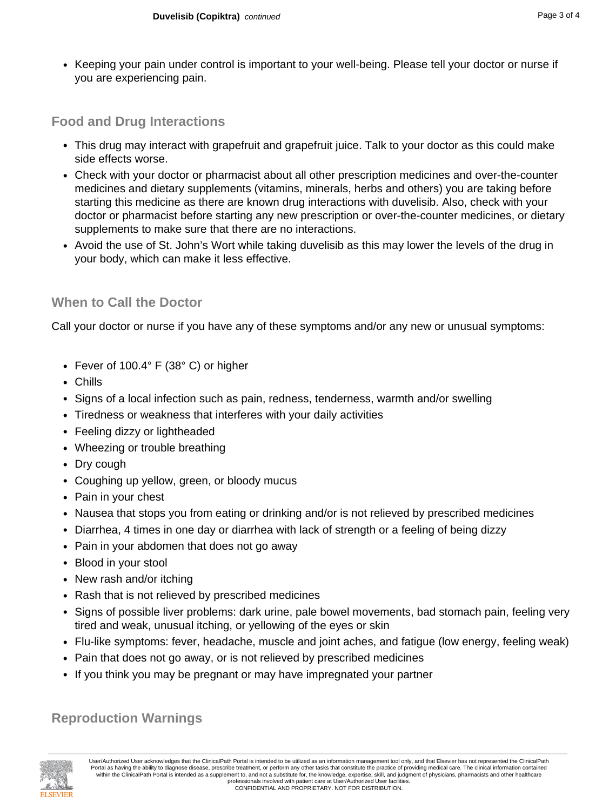• Keeping your pain under control is important to your well-being. Please tell your doctor or nurse if you are experiencing pain.

# **Food and Drug Interactions**

- This drug may interact with grapefruit and grapefruit juice. Talk to your doctor as this could make side effects worse.
- Check with your doctor or pharmacist about all other prescription medicines and over-the-counter medicines and dietary supplements (vitamins, minerals, herbs and others) you are taking before starting this medicine as there are known drug interactions with duvelisib. Also, check with your doctor or pharmacist before starting any new prescription or over-the-counter medicines, or dietary supplements to make sure that there are no interactions.
- Avoid the use of St. John's Wort while taking duvelisib as this may lower the levels of the drug in your body, which can make it less effective.

## **When to Call the Doctor**

Call your doctor or nurse if you have any of these symptoms and/or any new or unusual symptoms:

- Fever of 100.4° F (38° C) or higher
- Chills
- Signs of a local infection such as pain, redness, tenderness, warmth and/or swelling
- Tiredness or weakness that interferes with your daily activities
- Feeling dizzy or lightheaded
- Wheezing or trouble breathing
- Dry cough
- Coughing up yellow, green, or bloody mucus
- Pain in your chest
- Nausea that stops you from eating or drinking and/or is not relieved by prescribed medicines
- Diarrhea, 4 times in one day or diarrhea with lack of strength or a feeling of being dizzy
- Pain in your abdomen that does not go away
- Blood in your stool
- New rash and/or itching
- Rash that is not relieved by prescribed medicines
- Signs of possible liver problems: dark urine, pale bowel movements, bad stomach pain, feeling very tired and weak, unusual itching, or yellowing of the eyes or skin
- Flu-like symptoms: fever, headache, muscle and joint aches, and fatigue (low energy, feeling weak)
- Pain that does not go away, or is not relieved by prescribed medicines
- If you think you may be pregnant or may have impregnated your partner

## **Reproduction Warnings**